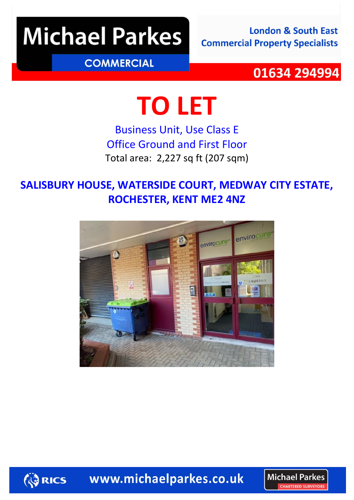# **Michael Parkes**

**London & South East Commercial Property Specialists** 

### **COMMERCIAL**

### 01634 294994

# **TO LET**

Business Unit, Use Class E Office Ground and First Floor Total area: 2,227 sq ft (207 sqm)

### **SALISBURY HOUSE, WATERSIDE COURT, MEDWAY CITY ESTATE, ROCHESTER, KENT ME2 4NZ**



**ED RICS** 

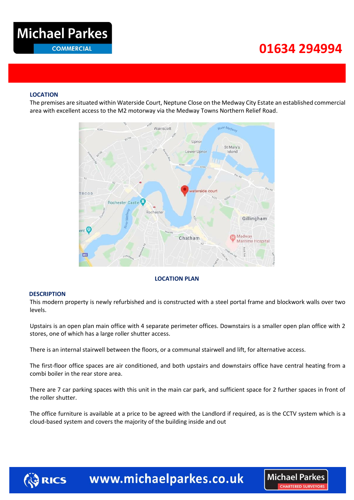### **Michael Parkes COMMERCIAL**

## **034 29499401634 294994**

**Michael Parkes** CHARTERED SURVEYOR

#### **LOCATION**

The premises are situated within Waterside Court, Neptune Close on the Medway City Estate an established commercial area with excellent access to the M2 motorway via the Medway Towns Northern Relief Road.



#### **LOCATION PLAN**

#### **DESCRIPTION**

This modern property is newly refurbished and is constructed with a steel portal frame and blockwork walls over two levels.

Upstairs is an open plan main office with 4 separate perimeter offices. Downstairs is a smaller open plan office with 2 stores, one of which has a large roller shutter access.

There is an internal stairwell between the floors, or a communal stairwell and lift, for alternative access.

The first-floor office spaces are air conditioned, and both upstairs and downstairs office have central heating from a combi boiler in the rear store area.

There are 7 car parking spaces with this unit in the main car park, and sufficient space for 2 further spaces in front of the roller shutter.

The office furniture is available at a price to be agreed with the Landlord if required, as is the CCTV system which is a cloud-based system and covers the majority of the building inside and out

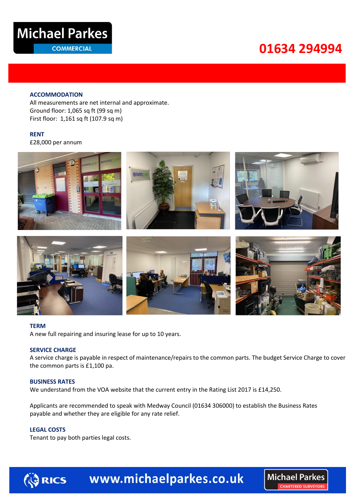

**COMMERCIAL** 

# **034 29499401634 294994**

#### **ACCOMMODATION**

All measurements are net internal and approximate. Ground floor: 1,065 sq ft (99 sq m) First floor: 1,161 sq ft (107.9 sq m)

#### **RENT**

£28,000 per annum



#### **TERM**

A new full repairing and insuring lease for up to 10 years.

#### **SERVICE CHARGE**

A service charge is payable in respect of maintenance/repairs to the common parts. The budget Service Charge to cover the common parts is £1,100 pa.

#### **BUSINESS RATES**

We understand from the VOA website that the current entry in the Rating List 2017 is £14,250.

Applicants are recommended to speak with Medway Council (01634 306000) to establish the Business Rates payable and whether they are eligible for any rate relief.

#### **LEGAL COSTS**

Tenant to pay both parties legal costs.



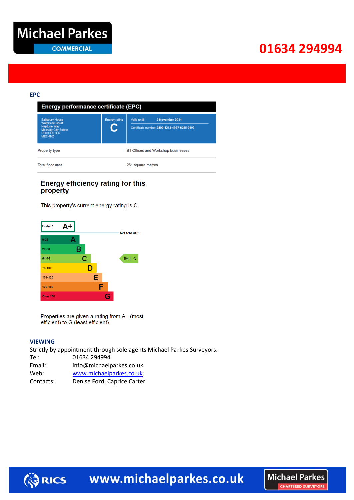### **034 29499401634 294994**

#### **EPC**

| <b>Energy performance certificate (EPC)</b>                                                                                                                |                            |                                                                                 |
|------------------------------------------------------------------------------------------------------------------------------------------------------------|----------------------------|---------------------------------------------------------------------------------|
| <b>Salisbury House</b><br><b>Waterside Court</b><br><b>Neptune Way</b><br><b>Medway City Estate</b><br><b>ROCHESTER</b><br>ME <sub>2</sub> 4N <sub>Z</sub> | <b>Energy rating</b><br>U. | 2 November 2031<br>Valid until:<br>Certificate number: 2899-4213-4367-6285-0103 |
| Property type                                                                                                                                              |                            | B1 Offices and Workshop businesses                                              |
| Total floor area                                                                                                                                           |                            | 261 square metres                                                               |

#### **Energy efficiency rating for this** property

This property's current energy rating is C.



Properties are given a rating from A+ (most efficient) to G (least efficient).

#### **VIEWING**

**ED RICS** 

Strictly by appointment through sole agents Michael Parkes Surveyors.

| Tel:      | 01634 294994                |
|-----------|-----------------------------|
| Email:    | info@michaelparkes.co.uk    |
| Web:      | www.michaelparkes.co.uk     |
| Contacts: | Denise Ford, Caprice Carter |